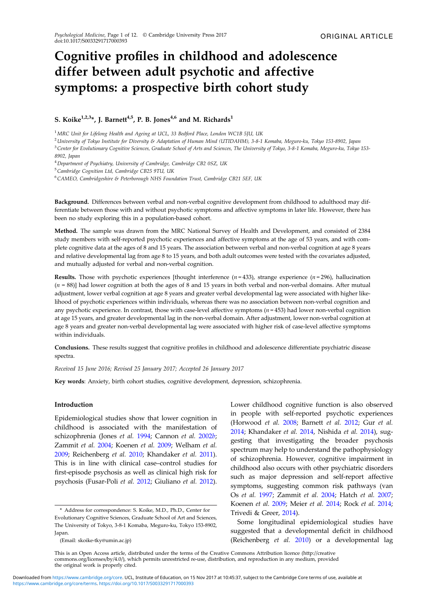# Cognitive profiles in childhood and adolescence differ between adult psychotic and affective symptoms: a prospective birth cohort study

## S. Koike<sup>1,2,3\*</sup>, J. Barnett<sup>4,5</sup>, P. B. Jones<sup>4,6</sup> and M. Richards<sup>1</sup>

<sup>1</sup> MRC Unit for Lifelong Health and Ageing at UCL, 33 Bedford Place, London WC1B 5JU, UK

<sup>2</sup>University of Tokyo Institute for Diversity & Adaptation of Human Mind (UTIDAHM), 3-8-1 Komaba, Meguro-ku, Tokyo 153-8902, Japan <sup>3</sup> Center for Evolutionary Cognitive Sciences, Graduate School of Arts and Sciences, The University of Tokyo, 3-8-1 Komaba, Meguro-ku, Tokyo 153-8902, Japan

<sup>4</sup>Department of Psychiatry, University of Cambridge, Cambridge CB2 0SZ, UK

<sup>5</sup>Cambridge Cognition Ltd, Cambridge CB25 9TU, UK

<sup>6</sup>CAMEO, Cambridgeshire & Peterborough NHS Foundation Trust, Cambridge CB21 5EF, UK

Background. Differences between verbal and non-verbal cognitive development from childhood to adulthood may differentiate between those with and without psychotic symptoms and affective symptoms in later life. However, there has been no study exploring this in a population-based cohort.

Method. The sample was drawn from the MRC National Survey of Health and Development, and consisted of 2384 study members with self-reported psychotic experiences and affective symptoms at the age of 53 years, and with complete cognitive data at the ages of 8 and 15 years. The association between verbal and non-verbal cognition at age 8 years and relative developmental lag from age 8 to 15 years, and both adult outcomes were tested with the covariates adjusted, and mutually adjusted for verbal and non-verbal cognition.

**Results.** Those with psychotic experiences [thought interference  $(n = 433)$ , strange experience  $(n = 296)$ , hallucination  $(n = 88)$ ] had lower cognition at both the ages of 8 and 15 years in both verbal and non-verbal domains. After mutual adjustment, lower verbal cognition at age 8 years and greater verbal developmental lag were associated with higher likelihood of psychotic experiences within individuals, whereas there was no association between non-verbal cognition and any psychotic experience. In contrast, those with case-level affective symptoms  $(n = 453)$  had lower non-verbal cognition at age 15 years, and greater developmental lag in the non-verbal domain. After adjustment, lower non-verbal cognition at age 8 years and greater non-verbal developmental lag were associated with higher risk of case-level affective symptoms within individuals.

Conclusions. These results suggest that cognitive profiles in childhood and adolescence differentiate psychiatric disease spectra.

Received 15 June 2016; Revised 25 January 2017; Accepted 26 January 2017

Key words: Anxiety, birth cohort studies, cognitive development, depression, schizophrenia.

#### Introduction

Epidemiological studies show that lower cognition in childhood is associated with the manifestation of schizophrenia (Jones et al. [1994](#page-10-0); Cannon et al. [2002](#page-9-0)b; Zammit et al. [2004;](#page-11-0) Koenen et al. [2009;](#page-10-0) Welham et al. [2009;](#page-11-0) Reichenberg et al. [2010;](#page-10-0) Khandaker et al. [2011](#page-10-0)). This is in line with clinical case–control studies for first-episode psychosis as well as clinical high risk for psychosis (Fusar-Poli et al. [2012](#page-10-0); Giuliano et al. [2012](#page-10-0)).

Lower childhood cognitive function is also observed in people with self-reported psychotic experiences (Horwood et al. [2008](#page-10-0); Barnett et al. [2012](#page-9-0); Gur et al. [2014;](#page-10-0) Khandaker et al. [2014](#page-10-0), Nishida et al. [2014](#page-10-0)), suggesting that investigating the broader psychosis spectrum may help to understand the pathophysiology of schizophrenia. However, cognitive impairment in childhood also occurs with other psychiatric disorders such as major depression and self-report affective symptoms, suggesting common risk pathways (van Os et al. [1997](#page-11-0); Zammit et al. [2004](#page-11-0); Hatch et al. [2007](#page-10-0); Koenen et al. [2009](#page-10-0); Meier et al. [2014;](#page-10-0) Rock et al. [2014](#page-11-0); Trivedi & Greer, [2014](#page-11-0)).

Some longitudinal epidemiological studies have suggested that a developmental deficit in childhood (Reichenberg et al. [2010\)](#page-10-0) or a developmental lag

This is an Open Access article, distributed under the terms of the Creative Commons Attribution licence (http://creative commons.org/licenses/by/4.0/), which permits unrestricted re-use, distribution, and reproduction in any medium, provided the original work is properly cited.

<sup>\*</sup> Address for correspondence: S. Koike, M.D., Ph.D., Center for Evolutionary Cognitive Sciences, Graduate School of Art and Sciences, The University of Tokyo, 3-8-1 Komaba, Meguro-ku, Tokyo 153-8902, Japan.

<sup>(</sup>Email: [skoike-tky@umin.ac.jp](mailto:skoike-tky@umin.ac.jp))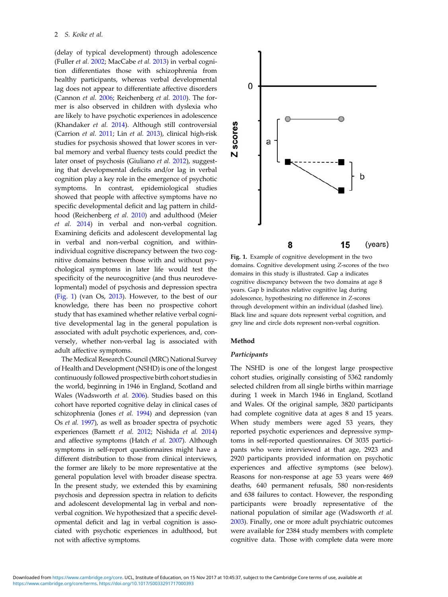<span id="page-1-0"></span>(delay of typical development) through adolescence (Fuller et al. [2002](#page-10-0); MacCabe et al. [2013](#page-10-0)) in verbal cognition differentiates those with schizophrenia from healthy participants, whereas verbal developmental lag does not appear to differentiate affective disorders (Cannon et al. [2006](#page-9-0); Reichenberg et al. [2010\)](#page-10-0). The former is also observed in children with dyslexia who are likely to have psychotic experiences in adolescence (Khandaker et al. [2014](#page-10-0)). Although still controversial (Carrion et al. [2011;](#page-9-0) Lin et al. [2013](#page-10-0)), clinical high-risk studies for psychosis showed that lower scores in verbal memory and verbal fluency tests could predict the later onset of psychosis (Giuliano et al. [2012\)](#page-10-0), suggesting that developmental deficits and/or lag in verbal cognition play a key role in the emergence of psychotic symptoms. In contrast, epidemiological studies showed that people with affective symptoms have no specific developmental deficit and lag pattern in childhood (Reichenberg et al. [2010\)](#page-10-0) and adulthood (Meier et al. [2014](#page-10-0)) in verbal and non-verbal cognition. Examining deficits and adolescent developmental lag in verbal and non-verbal cognition, and withinindividual cognitive discrepancy between the two cognitive domains between those with and without psychological symptoms in later life would test the specificity of the neurocognitive (and thus neurodevelopmental) model of psychosis and depression spectra (Fig. 1) (van Os, [2013\)](#page-11-0). However, to the best of our knowledge, there has been no prospective cohort study that has examined whether relative verbal cognitive developmental lag in the general population is associated with adult psychotic experiences, and, conversely, whether non-verbal lag is associated with adult affective symptoms.

The Medical Research Council (MRC) National Survey of Health and Development (NSHD) is one of the longest continuously followed prospective birth cohort studies in the world, beginning in 1946 in England, Scotland and Wales (Wadsworth et al. [2006\)](#page-11-0). Studies based on this cohort have reported cognitive delay in clinical cases of schizophrenia (Jones et al. [1994](#page-10-0)) and depression (van Os et al. [1997\)](#page-11-0), as well as broader spectra of psychotic experiences (Barnett et al. [2012](#page-9-0); Nishida et al. [2014\)](#page-10-0) and affective symptoms (Hatch et al. [2007](#page-10-0)). Although symptoms in self-report questionnaires might have a different distribution to those from clinical interviews, the former are likely to be more representative at the general population level with broader disease spectra. In the present study, we extended this by examining psychosis and depression spectra in relation to deficits and adolescent developmental lag in verbal and nonverbal cognition. We hypothesized that a specific developmental deficit and lag in verbal cognition is associated with psychotic experiences in adulthood, but not with affective symptoms.



Fig. 1. Example of cognitive development in the two domains. Cognitive development using Z-scores of the two domains in this study is illustrated. Gap a indicates cognitive discrepancy between the two domains at age 8 years. Gap b indicates relative cognitive lag during adolescence, hypothesizing no difference in Z-scores through development within an individual (dashed line). Black line and square dots represent verbal cognition, and grey line and circle dots represent non-verbal cognition.

#### Method

## Participants

The NSHD is one of the longest large prospective cohort studies, originally consisting of 5362 randomly selected children from all single births within marriage during 1 week in March 1946 in England, Scotland and Wales. Of the original sample, 3820 participants had complete cognitive data at ages 8 and 15 years. When study members were aged 53 years, they reported psychotic experiences and depressive symptoms in self-reported questionnaires. Of 3035 participants who were interviewed at that age, 2923 and 2920 participants provided information on psychotic experiences and affective symptoms (see below). Reasons for non-response at age 53 years were 469 deaths, 640 permanent refusals, 580 non-residents and 638 failures to contact. However, the responding participants were broadly representative of the national population of similar age (Wadsworth et al. [2003\)](#page-11-0). Finally, one or more adult psychiatric outcomes were available for 2384 study members with complete cognitive data. Those with complete data were more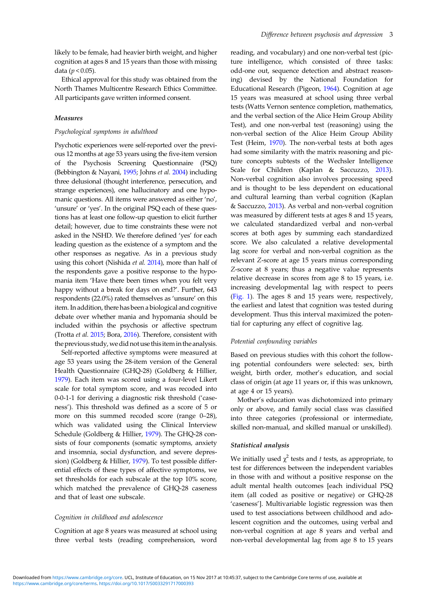likely to be female, had heavier birth weight, and higher cognition at ages 8 and 15 years than those with missing data ( $p < 0.05$ ).

Ethical approval for this study was obtained from the North Thames Multicentre Research Ethics Committee. All participants gave written informed consent.

#### Measures

#### Psychological symptoms in adulthood

Psychotic experiences were self-reported over the previous 12 months at age 53 years using the five-item version of the Psychosis Screening Questionnaire (PSQ) (Bebbington & Nayani, [1995](#page-9-0); Johns et al. [2004\)](#page-10-0) including three delusional (thought interference, persecution, and strange experiences), one hallucinatory and one hypomanic questions. All items were answered as either 'no', 'unsure' or 'yes'. In the original PSQ each of these questions has at least one follow-up question to elicit further detail; however, due to time constraints these were not asked in the NSHD. We therefore defined 'yes' for each leading question as the existence of a symptom and the other responses as negative. As in a previous study using this cohort (Nishida et al. [2014\)](#page-10-0), more than half of the respondents gave a positive response to the hypomania item 'Have there been times when you felt very happy without a break for days on end?'. Further, 643 respondents (22.0%) rated themselves as 'unsure' on this item. In addition, there has been a biological and cognitive debate over whether mania and hypomania should be included within the psychosis or affective spectrum (Trotta et al. [2015;](#page-11-0) Bora, [2016](#page-9-0)). Therefore, consistent with the previous study, we did not use this item in the analysis.

Self-reported affective symptoms were measured at age 53 years using the 28-item version of the General Health Questionnaire (GHQ-28) (Goldberg & Hillier, [1979\)](#page-10-0). Each item was scored using a four-level Likert scale for total symptom score, and was recoded into 0-0-1-1 for deriving a diagnostic risk threshold ('caseness'). This threshold was defined as a score of 5 or more on this summed recoded score (range 0–28), which was validated using the Clinical Interview Schedule (Goldberg & Hillier, [1979\)](#page-10-0). The GHQ-28 consists of four components (somatic symptoms, anxiety and insomnia, social dysfunction, and severe depression) (Goldberg & Hillier, [1979\)](#page-10-0). To test possible differential effects of these types of affective symptoms, we set thresholds for each subscale at the top 10% score, which matched the prevalence of GHQ-28 caseness and that of least one subscale.

## Cognition in childhood and adolescence

Cognition at age 8 years was measured at school using three verbal tests (reading comprehension, word

reading, and vocabulary) and one non-verbal test (picture intelligence, which consisted of three tasks: odd-one out, sequence detection and abstract reasoning) devised by the National Foundation for Educational Research (Pigeon, [1964](#page-10-0)). Cognition at age 15 years was measured at school using three verbal tests (Watts Vernon sentence completion, mathematics, and the verbal section of the Alice Heim Group Ability Test), and one non-verbal test (reasoning) using the non-verbal section of the Alice Heim Group Ability Test (Heim, [1970](#page-10-0)). The non-verbal tests at both ages had some similarity with the matrix reasoning and picture concepts subtests of the Wechsler Intelligence Scale for Children (Kaplan & Saccuzzo, [2013](#page-10-0)). Non-verbal cognition also involves processing speed and is thought to be less dependent on educational and cultural learning than verbal cognition (Kaplan & Saccuzzo, [2013\)](#page-10-0). As verbal and non-verbal cognition was measured by different tests at ages 8 and 15 years, we calculated standardized verbal and non-verbal scores at both ages by summing each standardized score. We also calculated a relative developmental lag score for verbal and non-verbal cognition as the relevant Z-score at age 15 years minus corresponding Z-score at 8 years; thus a negative value represents relative decrease in scores from age 8 to 15 years, i.e. increasing developmental lag with respect to peers ([Fig. 1\)](#page-1-0). The ages 8 and 15 years were, respectively, the earliest and latest that cognition was tested during development. Thus this interval maximized the potential for capturing any effect of cognitive lag.

#### Potential confounding variables

Based on previous studies with this cohort the following potential confounders were selected: sex, birth weight, birth order, mother's education, and social class of origin (at age 11 years or, if this was unknown, at age 4 or 15 years).

Mother's education was dichotomized into primary only or above, and family social class was classified into three categories (professional or intermediate, skilled non-manual, and skilled manual or unskilled).

#### Statistical analysis

We initially used  $\chi^2$  tests and t tests, as appropriate, to test for differences between the independent variables in those with and without a positive response on the adult mental health outcomes [each individual PSQ item (all coded as positive or negative) or GHQ-28 'caseness']. Multivariable logistic regression was then used to test associations between childhood and adolescent cognition and the outcomes, using verbal and non-verbal cognition at age 8 years and verbal and non-verbal developmental lag from age 8 to 15 years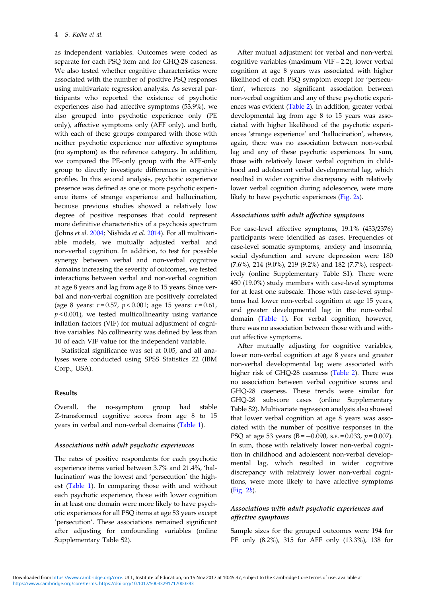as independent variables. Outcomes were coded as separate for each PSQ item and for GHQ-28 caseness. We also tested whether cognitive characteristics were associated with the number of positive PSQ responses using multivariate regression analysis. As several participants who reported the existence of psychotic experiences also had affective symptoms (53.9%), we also grouped into psychotic experience only (PE only), affective symptoms only (AFF only), and both, with each of these groups compared with those with neither psychotic experience nor affective symptoms (no symptom) as the reference category. In addition, we compared the PE-only group with the AFF-only group to directly investigate differences in cognitive profiles. In this second analysis, psychotic experience presence was defined as one or more psychotic experience items of strange experience and hallucination, because previous studies showed a relatively low degree of positive responses that could represent more definitive characteristics of a psychosis spectrum (Johns et al. [2004;](#page-10-0) Nishida et al. [2014\)](#page-10-0). For all multivariable models, we mutually adjusted verbal and non-verbal cognition. In addition, to test for possible synergy between verbal and non-verbal cognitive domains increasing the severity of outcomes, we tested interactions between verbal and non-verbal cognition at age 8 years and lag from age 8 to 15 years. Since verbal and non-verbal cognition are positively correlated (age 8 years:  $r = 0.57$ ,  $p < 0.001$ ; age 15 years:  $r = 0.61$ ,  $p$  < 0.001), we tested multicollinearity using variance inflation factors (VIF) for mutual adjustment of cognitive variables. No collinearity was defined by less than 10 of each VIF value for the independent variable.

Statistical significance was set at 0.05, and all analyses were conducted using SPSS Statistics 22 (IBM Corp., USA).

## Results

Overall, the no-symptom group had stable Z-transformed cognitive scores from age 8 to 15 years in verbal and non-verbal domains ([Table 1\)](#page-4-0).

#### Associations with adult psychotic experiences

The rates of positive respondents for each psychotic experience items varied between 3.7% and 21.4%, 'hallucination' was the lowest and 'persecution' the highest ([Table 1](#page-4-0)). In comparing those with and without each psychotic experience, those with lower cognition in at least one domain were more likely to have psychotic experiences for all PSQ items at age 53 years except 'persecution'. These associations remained significant after adjusting for confounding variables (online Supplementary Table S2).

After mutual adjustment for verbal and non-verbal cognitive variables (maximum VIF = 2.2), lower verbal cognition at age 8 years was associated with higher likelihood of each PSQ symptom except for 'persecution', whereas no significant association between non-verbal cognition and any of these psychotic experiences was evident ([Table 2\)](#page-5-0). In addition, greater verbal developmental lag from age 8 to 15 years was associated with higher likelihood of the psychotic experiences 'strange experience' and 'hallucination', whereas, again, there was no association between non-verbal lag and any of these psychotic experiences. In sum, those with relatively lower verbal cognition in childhood and adolescent verbal developmental lag, which resulted in wider cognitive discrepancy with relatively lower verbal cognition during adolescence, were more likely to have psychotic experiences ([Fig. 2](#page-6-0)a).

## Associations with adult affective symptoms

For case-level affective symptoms, 19.1% (453/2376) participants were identified as cases. Frequencies of case-level somatic symptoms, anxiety and insomnia, social dysfunction and severe depression were 180 (7.6%), 214 (9.0%), 219 (9.2%) and 182 (7.7%), respectively (online Supplementary Table S1). There were 450 (19.0%) study members with case-level symptoms for at least one subscale. Those with case-level symptoms had lower non-verbal cognition at age 15 years, and greater developmental lag in the non-verbal domain [\(Table 1\)](#page-4-0). For verbal cognition, however, there was no association between those with and without affective symptoms.

After mutually adjusting for cognitive variables, lower non-verbal cognition at age 8 years and greater non-verbal developmental lag were associated with higher risk of GHQ-28 caseness [\(Table 2](#page-5-0)). There was no association between verbal cognitive scores and GHQ-28 caseness. These trends were similar for GHQ-28 subscore cases (online Supplementary Table S2). Multivariate regression analysis also showed that lower verbal cognition at age 8 years was associated with the number of positive responses in the PSQ at age 53 years (B =  $-0.090$ , s.e. = 0.033, p = 0.007). In sum, those with relatively lower non-verbal cognition in childhood and adolescent non-verbal developmental lag, which resulted in wider cognitive discrepancy with relatively lower non-verbal cognitions, were more likely to have affective symptoms ([Fig. 2](#page-6-0)b).

## Associations with adult psychotic experiences and affective symptoms

Sample sizes for the grouped outcomes were 194 for PE only (8.2%), 315 for AFF only (13.3%), 138 for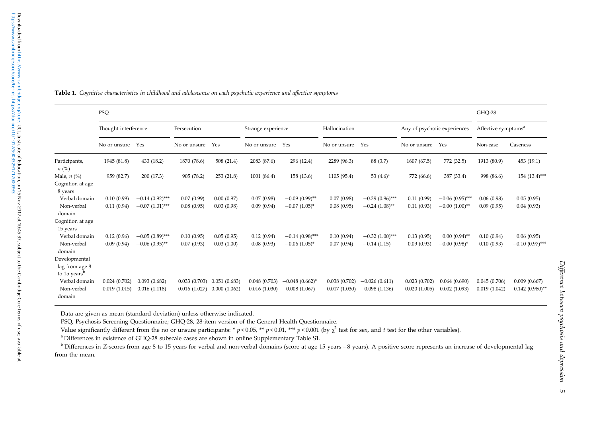<span id="page-4-0"></span>

| Table 1. Cognitive characteristics in childhood and adolescence on each psychotic experience and affective symptoms |  |
|---------------------------------------------------------------------------------------------------------------------|--|
|---------------------------------------------------------------------------------------------------------------------|--|

|                            | PSQ                  |                      |                 |              |                    |                     |                 | GHQ-28                         |                              |                  |                                 |                    |
|----------------------------|----------------------|----------------------|-----------------|--------------|--------------------|---------------------|-----------------|--------------------------------|------------------------------|------------------|---------------------------------|--------------------|
|                            | Thought interference |                      | Persecution     |              | Strange experience |                     | Hallucination   |                                | Any of psychotic experiences |                  | Affective symptoms <sup>a</sup> |                    |
|                            | No or unsure         | Yes                  | No or unsure    | Yes          | No or unsure       | Yes                 | No or unsure    | Yes                            | No or unsure                 | Yes              | Non-case                        | Caseness           |
| Participants,<br>$n\ (\%)$ | 1945 (81.8)          | 433 (18.2)           | 1870 (78.6)     | 508 (21.4)   | 2083 (87.6)        | 296 (12.4)          | 2289 (96.3)     | 88 (3.7)                       | 1607 (67.5)                  | 772 (32.5)       | 1913 (80.9)                     | 453 (19.1)         |
| Male, $n$ (%)              | 959 (82.7)           | 200(17.3)            | 905 (78.2)      | 253 (21.8)   | 1001 (86.4)        | 158 (13.6)          | 1105 (95.4)     | 53 $(4.6)^*$                   | 772 (66.6)                   | 387 (33.4)       | 998 (86.6)                      | 154 (13.4)***      |
| Cognition at age           |                      |                      |                 |              |                    |                     |                 |                                |                              |                  |                                 |                    |
| 8 years                    |                      |                      |                 |              |                    |                     |                 |                                |                              |                  |                                 |                    |
| Verbal domain              | 0.10(0.99)           | $-0.14(0.92)$ ***    | 0.07(0.99)      | 0.00(0.97)   | 0.07(0.98)         | $-0.09(0.99)$ **    | 0.07(0.98)      | $-0.29(0.96)$ ***              | 0.11(0.99)                   | $-0.06(0.95)$ ** | 0.06(0.98)                      | 0.05(0.95)         |
| Non-verbal<br>domain       | 0.11(0.94)           | $-0.07$ $(1.01)$ *** | 0.08(0.95)      | 0.03(0.98)   | 0.09(0.94)         | $-0.07$ $(1.05)^*$  | 0.08(0.95)      | $-0.24$ $(1.08)$ <sup>**</sup> | 0.11(0.93)                   | $-0.00(1.00)$ ** | 0.09(0.95)                      | 0.04(0.93)         |
| Cognition at age           |                      |                      |                 |              |                    |                     |                 |                                |                              |                  |                                 |                    |
| 15 years                   |                      |                      |                 |              |                    |                     |                 |                                |                              |                  |                                 |                    |
| Verbal domain              | 0.12(0.96)           | $-0.05(0.89)$ ***    | 0.10(0.95)      | 0.05(0.95)   | 0.12(0.94)         | $-0.14(0.98)$ ***   | 0.10(0.94)      | $-0.32(1.00)$ ***              | 0.13(0.95)                   | $0.00(0.94)$ **  | 0.10(0.94)                      | 0.06(0.95)         |
| Non-verbal                 | 0.09(0.94)           | $-0.06(0.95)$ **     | 0.07(0.93)      | 0.03(1.00)   | 0.08(0.93)         | $-0.06$ $(1.05)^*$  | 0.07(0.94)      | $-0.14(1.15)$                  | 0.09(0.93)                   | $-0.00(0.98)$ *  | 0.10(0.93)                      | $-0.10(0.97)$ ***  |
| domain                     |                      |                      |                 |              |                    |                     |                 |                                |                              |                  |                                 |                    |
| Developmental              |                      |                      |                 |              |                    |                     |                 |                                |                              |                  |                                 |                    |
| lag from age 8             |                      |                      |                 |              |                    |                     |                 |                                |                              |                  |                                 |                    |
| to 15 years <sup>b</sup>   |                      |                      |                 |              |                    |                     |                 |                                |                              |                  |                                 |                    |
| Verbal domain              | 0.024(0.702)         | 0.093(0.682)         | 0.033(0.703)    | 0.051(0.683) | 0.048(0.703)       | $-0.048(0.662)^{*}$ | 0.038(0.702)    | $-0.026(0.611)$                | 0.023(0.702)                 | 0.064(0.690)     | 0.045(0.706)                    | 0.009(0.667)       |
| Non-verbal                 | $-0.019(1.015)$      | 0.016(1.118)         | $-0.016(1.027)$ | 0.000(1.062) | $-0.016(1.030)$    | 0.008(1.067)        | $-0.017(1.030)$ | 0.098(1.136)                   | $-0.020(1.005)$              | 0.002(1.093)     | 0.019(1.042)                    | $-0.142(0.980)$ ** |
| domain                     |                      |                      |                 |              |                    |                     |                 |                                |                              |                  |                                 |                    |

Data are given as mean (standard deviation) unless otherwise indicated.

PSQ, Psychosis Screening Questionnaire; GHQ-28, 28-item version of the General Health Questionnaire.

Value significantly different from the no or unsure participants: \*  $p < 0.05$ , \*\*  $p < 0.01$ , \*\*\*  $p < 0.001$  (by  $\chi^2$  test for sex, and t test for the other variables).

<sup>a</sup> Differences in existence of GHQ-28 subscale cases are shown in online Supplementary Table S1.

<sup>b</sup> Differences in Z-scores from age 8 to 15 years for verbal and non-verbal domains (score at age 15 years – 8 years). A positive score represents an increase of developmental lag from the mean.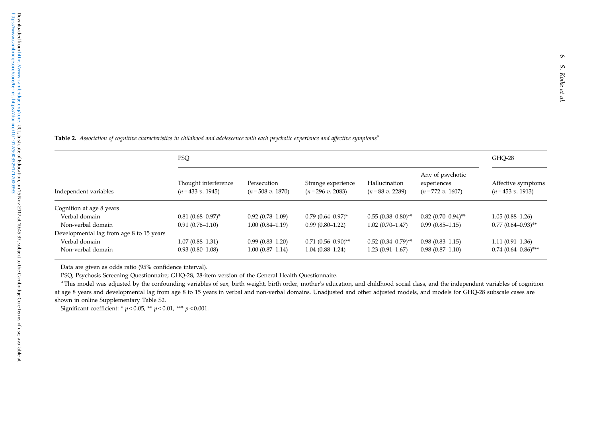<span id="page-5-0"></span>Table 2. Association of cognitive characteristics in childhood and adolescence with each psychotic experience and affective symptoms<sup>a</sup>

|                                          | <b>PSQ</b>                                | GHQ-28                           |                                         |                                   |                                                        |                                         |
|------------------------------------------|-------------------------------------------|----------------------------------|-----------------------------------------|-----------------------------------|--------------------------------------------------------|-----------------------------------------|
| Independent variables                    | Thought interference<br>$(n=433 v. 1945)$ | Persecution<br>$(n=508 v. 1870)$ | Strange experience<br>$(n=296 v. 2083)$ | Hallucination<br>$(n=88 v. 2289)$ | Any of psychotic<br>experiences<br>$(n = 772 v. 1607)$ | Affective symptoms<br>$(n=453 v. 1913)$ |
| Cognition at age 8 years                 |                                           |                                  |                                         |                                   |                                                        |                                         |
| Verbal domain                            | $0.81(0.68 - 0.97)^*$                     | $0.92(0.78-1.09)$                | $0.79(0.64 - 0.97)^*$                   | $0.55(0.38-0.80)$ **              | $0.82$ $(0.70-0.94)$ **                                | $1.05(0.88 - 1.26)$                     |
| Non-verbal domain                        | $0.91(0.76 - 1.10)$                       | $1.00(0.84 - 1.19)$              | $0.99(0.80 - 1.22)$                     | $1.02(0.70 - 1.47)$               | $0.99(0.85 - 1.15)$                                    | $0.77$ $(0.64 - 0.93)$ **               |
| Developmental lag from age 8 to 15 years |                                           |                                  |                                         |                                   |                                                        |                                         |
| Verbal domain                            | $1.07(0.88 - 1.31)$                       | $0.99(0.83 - 1.20)$              | $0.71(0.56-0.90)$ **                    | $0.52$ $(0.34 - 0.79)$ **         | $0.98(0.83 - 1.15)$                                    | $1.11(0.91 - 1.36)$                     |
| Non-verbal domain                        | $0.93(0.80-1.08)$                         | $1.00(0.87 - 1.14)$              | $1.04(0.88 - 1.24)$                     | $1.23(0.91 - 1.67)$               | $0.98(0.87-1.10)$                                      | $0.74(0.64 - 0.86)$ ***                 |

Data are given as odds ratio (95% confidence interval).

PSQ, Psychosis Screening Questionnaire; GHQ-28, 28-item version of the General Health Questionnaire.

<sup>a</sup> This model was adjusted by the confounding variables of sex, birth weight, birth order, mother's education, and childhood social class, and the independent variables of cognition at age <sup>8</sup> years and developmental lag from age <sup>8</sup> to 15 years in verbal and non-verbal domains. Unadjusted and other adjusted models, and models for GHQ-28 subscale cases are shown in online Supplementary Table S2.

Significant coefficient: \*  $p < 0.05$ , \*\*  $p < 0.01$ , \*\*\*  $p < 0.001$ .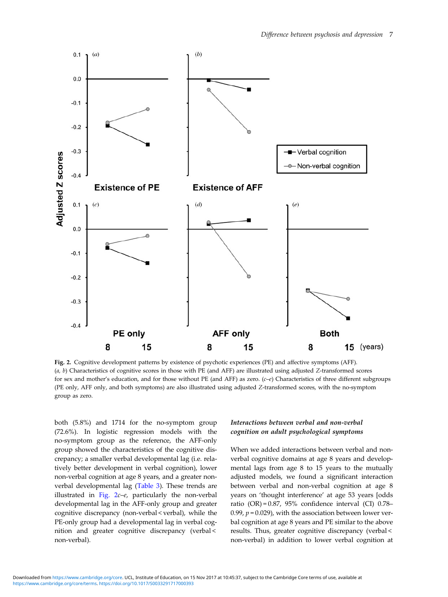<span id="page-6-0"></span>

Fig. 2. Cognitive development patterns by existence of psychotic experiences (PE) and affective symptoms (AFF).  $(a, b)$  Characteristics of cognitive scores in those with PE (and AFF) are illustrated using adjusted Z-transformed scores for sex and mother's education, and for those without PE (and AFF) as zero. (c–e) Characteristics of three different subgroups (PE only, AFF only, and both symptoms) are also illustrated using adjusted Z-transformed scores, with the no-symptom group as zero.

both (5.8%) and 1714 for the no-symptom group (72.6%). In logistic regression models with the no-symptom group as the reference, the AFF-only group showed the characteristics of the cognitive discrepancy; a smaller verbal developmental lag (i.e. relatively better development in verbal cognition), lower non-verbal cognition at age 8 years, and a greater nonverbal developmental lag [\(Table 3](#page-7-0)). These trends are illustrated in Fig. 2c–e, particularly the non-verbal developmental lag in the AFF-only group and greater cognitive discrepancy (non-verbal < verbal), while the PE-only group had a developmental lag in verbal cognition and greater cognitive discrepancy (verbal < non-verbal).

## Interactions between verbal and non-verbal cognition on adult psychological symptoms

When we added interactions between verbal and nonverbal cognitive domains at age 8 years and developmental lags from age 8 to 15 years to the mutually adjusted models, we found a significant interaction between verbal and non-verbal cognition at age 8 years on 'thought interference' at age 53 years [odds ratio (OR) = 0.87, 95% confidence interval (CI) 0.78– 0.99,  $p = 0.029$ ), with the association between lower verbal cognition at age 8 years and PE similar to the above results. Thus, greater cognitive discrepancy (verbal < non-verbal) in addition to lower verbal cognition at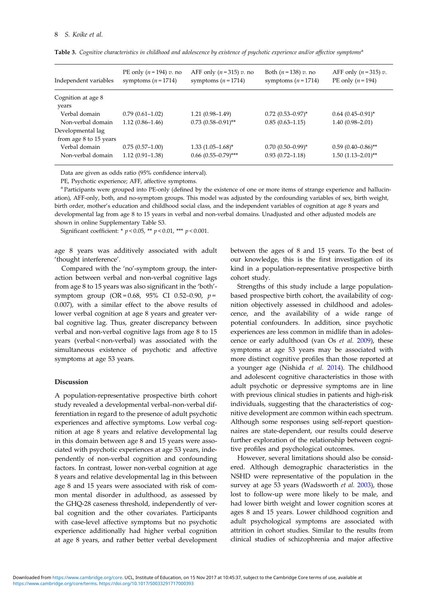| Independent variables       | PE only $(n=194)$ v. no<br>symptoms $(n=1714)$ | AFF only $(n=315)$ v. no<br>symptoms $(n=1714)$ | Both $(n = 138) v$ . no<br>symptoms $(n=1714)$ | AFF only $(n=315)$ v.<br>PE only $(n=194)$ |
|-----------------------------|------------------------------------------------|-------------------------------------------------|------------------------------------------------|--------------------------------------------|
| Cognition at age 8<br>years |                                                |                                                 |                                                |                                            |
| Verbal domain               | $0.79(0.61 - 1.02)$                            | $1.21(0.98-1.49)$                               | $0.72$ $(0.53 - 0.97)^*$                       | $0.64$ $(0.45-0.91)$ <sup>*</sup>          |
| Non-verbal domain           | $1.12(0.86 - 1.46)$                            | $0.73(0.58-0.91)$ **                            | $0.85(0.63 - 1.15)$                            | $1.40(0.98 - 2.01)$                        |
| Developmental lag           |                                                |                                                 |                                                |                                            |
| from age 8 to 15 years      |                                                |                                                 |                                                |                                            |
| Verbal domain               | $0.75(0.57-1.00)$                              | $1.33(1.05-1.68)^{*}$                           | $0.70(0.50-0.99)^{*}$                          | $0.59(0.40-0.86)$ **                       |
| Non-verbal domain           | $1.12(0.91 - 1.38)$                            | $0.66$ $(0.55-0.79)$ ***                        | $0.93(0.72 - 1.18)$                            | $1.50(1.13-2.01)$ **                       |

<span id="page-7-0"></span>Table 3. Cognitive characteristics in childhood and adolescence by existence of psychotic experience and/or affective symptoms<sup>a</sup>

Data are given as odds ratio (95% confidence interval).

PE, Psychotic experience; AFF, affective symptoms.

a Participants were grouped into PE-only (defined by the existence of one or more items of strange experience and hallucination), AFF-only, both, and no-symptom groups. This model was adjusted by the confounding variables of sex, birth weight, birth order, mother's education and childhood social class, and the independent variables of cognition at age 8 years and developmental lag from age 8 to 15 years in verbal and non-verbal domains. Unadjusted and other adjusted models are shown in online Supplementary Table S3.

Significant coefficient: \*  $p < 0.05$ , \*\*  $p < 0.01$ , \*\*\*  $p < 0.001$ .

age 8 years was additively associated with adult 'thought interference'.

Compared with the 'no'-symptom group, the interaction between verbal and non-verbal cognitive lags from age 8 to 15 years was also significant in the 'both' symptom group  $(OR = 0.68, 95\% \text{ CI } 0.52-0.90, p =$ 0.007), with a similar effect to the above results of lower verbal cognition at age 8 years and greater verbal cognitive lag. Thus, greater discrepancy between verbal and non-verbal cognitive lags from age 8 to 15 years (verbal < non-verbal) was associated with the simultaneous existence of psychotic and affective symptoms at age 53 years.

#### Discussion

A population-representative prospective birth cohort study revealed a developmental verbal–non-verbal differentiation in regard to the presence of adult psychotic experiences and affective symptoms. Low verbal cognition at age 8 years and relative developmental lag in this domain between age 8 and 15 years were associated with psychotic experiences at age 53 years, independently of non-verbal cognition and confounding factors. In contrast, lower non-verbal cognition at age 8 years and relative developmental lag in this between age 8 and 15 years were associated with risk of common mental disorder in adulthood, as assessed by the GHQ-28 caseness threshold, independently of verbal cognition and the other covariates. Participants with case-level affective symptoms but no psychotic experience additionally had higher verbal cognition at age 8 years, and rather better verbal development

between the ages of 8 and 15 years. To the best of our knowledge, this is the first investigation of its kind in a population-representative prospective birth cohort study.

Strengths of this study include a large populationbased prospective birth cohort, the availability of cognition objectively assessed in childhood and adolescence, and the availability of a wide range of potential confounders. In addition, since psychotic experiences are less common in midlife than in adolescence or early adulthood (van Os et al. [2009\)](#page-11-0), these symptoms at age 53 years may be associated with more distinct cognitive profiles than those reported at a younger age (Nishida  $et$  al.  $2014$ ). The childhood and adolescent cognitive characteristics in those with adult psychotic or depressive symptoms are in line with previous clinical studies in patients and high-risk individuals, suggesting that the characteristics of cognitive development are common within each spectrum. Although some responses using self-report questionnaires are state-dependent, our results could deserve further exploration of the relationship between cognitive profiles and psychological outcomes.

However, several limitations should also be considered. Although demographic characteristics in the NSHD were representative of the population in the survey at age 53 years (Wadsworth et al. [2003](#page-11-0)), those lost to follow-up were more likely to be male, and had lower birth weight and lower cognition scores at ages 8 and 15 years. Lower childhood cognition and adult psychological symptoms are associated with attrition in cohort studies. Similar to the results from clinical studies of schizophrenia and major affective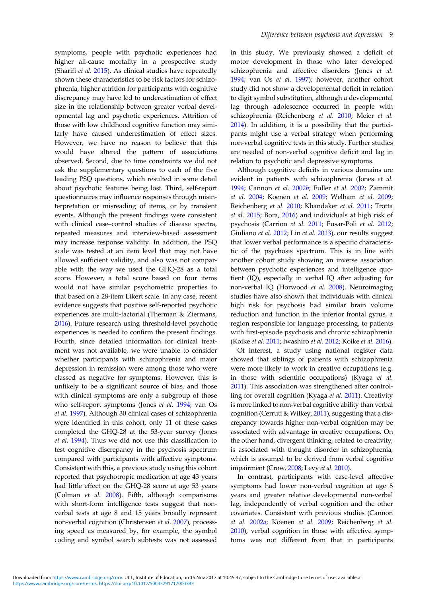symptoms, people with psychotic experiences had higher all-cause mortality in a prospective study (Sharifi et al. [2015\)](#page-11-0). As clinical studies have repeatedly shown these characteristics to be risk factors for schizophrenia, higher attrition for participants with cognitive discrepancy may have led to underestimation of effect size in the relationship between greater verbal developmental lag and psychotic experiences. Attrition of those with low childhood cognitive function may similarly have caused underestimation of effect sizes. However, we have no reason to believe that this would have altered the pattern of associations observed. Second, due to time constraints we did not ask the supplementary questions to each of the five leading PSQ questions, which resulted in some detail about psychotic features being lost. Third, self-report questionnaires may influence responses through misinterpretation or misreading of items, or by transient events. Although the present findings were consistent with clinical case–control studies of disease spectra, repeated measures and interview-based assessment may increase response validity. In addition, the PSQ scale was tested at an item level that may not have allowed sufficient validity, and also was not comparable with the way we used the GHQ-28 as a total score. However, a total score based on four items would not have similar psychometric properties to that based on a 28-item Likert scale. In any case, recent evidence suggests that positive self-reported psychotic experiences are multi-factorial (Therman & Ziermans, [2016\)](#page-11-0). Future research using threshold-level psychotic experiences is needed to confirm the present findings. Fourth, since detailed information for clinical treatment was not available, we were unable to consider whether participants with schizophrenia and major depression in remission were among those who were classed as negative for symptoms. However, this is unlikely to be a significant source of bias, and those with clinical symptoms are only a subgroup of those who self-report symptoms (Jones et al. [1994;](#page-10-0) van Os et al. [1997\)](#page-11-0). Although 30 clinical cases of schizophrenia were identified in this cohort, only 11 of these cases completed the GHQ-28 at the 53-year survey (Jones et al. [1994\)](#page-10-0). Thus we did not use this classification to test cognitive discrepancy in the psychosis spectrum compared with participants with affective symptoms. Consistent with this, a previous study using this cohort reported that psychotropic medication at age 43 years had little effect on the GHQ-28 score at age 53 years (Colman et al. [2008\)](#page-9-0). Fifth, although comparisons with short-form intelligence tests suggest that nonverbal tests at age 8 and 15 years broadly represent non-verbal cognition (Christensen et al. [2007\)](#page-9-0), processing speed as measured by, for example, the symbol coding and symbol search subtests was not assessed

in this study. We previously showed a deficit of motor development in those who later developed schizophrenia and affective disorders (Jones et al. [1994;](#page-10-0) van Os et al. [1997\)](#page-11-0); however, another cohort study did not show a developmental deficit in relation to digit symbol substitution, although a developmental lag through adolescence occurred in people with schizophrenia (Reichenberg et al. [2010](#page-10-0); Meier et al. [2014\)](#page-10-0). In addition, it is a possibility that the participants might use a verbal strategy when performing non-verbal cognitive tests in this study. Further studies are needed of non-verbal cognitive deficit and lag in relation to psychotic and depressive symptoms.

Although cognitive deficits in various domains are evident in patients with schizophrenia (Jones et al. [1994;](#page-10-0) Cannon et al. [2002](#page-9-0)b; Fuller et al. [2002;](#page-10-0) Zammit et al. [2004](#page-11-0); Koenen et al. [2009](#page-10-0); Welham et al. [2009](#page-11-0); Reichenberg et al. [2010](#page-10-0); Khandaker et al. [2011;](#page-10-0) Trotta et al. [2015](#page-11-0); Bora, [2016](#page-9-0)) and individuals at high risk of psychosis (Carrion et al. [2011;](#page-9-0) Fusar-Poli et al. [2012](#page-10-0); Giuliano et al. [2012;](#page-10-0) Lin et al. [2013](#page-10-0)), our results suggest that lower verbal performance is a specific characteristic of the psychosis spectrum. This is in line with another cohort study showing an inverse association between psychotic experiences and intelligence quotient (IQ), especially in verbal IQ after adjusting for non-verbal IQ (Horwood et al. [2008](#page-10-0)). Neuroimaging studies have also shown that individuals with clinical high risk for psychosis had similar brain volume reduction and function in the inferior frontal gyrus, a region responsible for language processing, to patients with first-episode psychosis and chronic schizophrenia (Koike et al. [2011](#page-10-0); Iwashiro et al. [2012;](#page-10-0) Koike et al. [2016](#page-10-0)).

Of interest, a study using national register data showed that siblings of patients with schizophrenia were more likely to work in creative occupations (e.g. in those with scientific occupations) (Kyaga et al. [2011\)](#page-10-0). This association was strengthened after controlling for overall cognition (Kyaga et al. [2011](#page-10-0)). Creativity is more linked to non-verbal cognitive ability than verbal cognition (Cerruti & Wilkey, [2011\)](#page-9-0), suggesting that a discrepancy towards higher non-verbal cognition may be associated with advantage in creative occupations. On the other hand, divergent thinking, related to creativity, is associated with thought disorder in schizophrenia, which is assumed to be derived from verbal cognitive impairment (Crow, [2008;](#page-9-0) Levy et al. [2010](#page-10-0)).

In contrast, participants with case-level affective symptoms had lower non-verbal cognition at age 8 years and greater relative developmental non-verbal lag, independently of verbal cognition and the other covariates. Consistent with previous studies (Cannon et al. [2002](#page-9-0)a; Koenen et al. [2009;](#page-10-0) Reichenberg et al. [2010\)](#page-10-0), verbal cognition in those with affective symptoms was not different from that in participants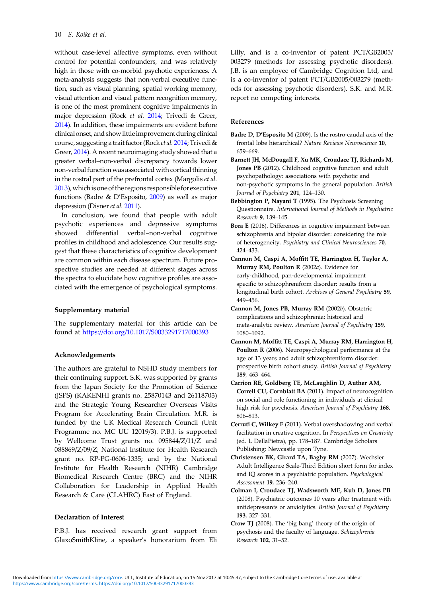<span id="page-9-0"></span>without case-level affective symptoms, even without control for potential confounders, and was relatively high in those with co-morbid psychotic experiences. A meta-analysis suggests that non-verbal executive function, such as visual planning, spatial working memory, visual attention and visual pattern recognition memory, is one of the most prominent cognitive impairments in major depression (Rock et al. [2014](#page-11-0); Trivedi & Greer, [2014](#page-11-0)). In addition, these impairments are evident before clinical onset, and showlittleimprovement during clinical course, suggesting a trait factor (Rock et al. [2014;](#page-11-0) Trivedi & Greer, [2014\)](#page-11-0). A recent neuroimaging study showed that a greater verbal–non-verbal discrepancy towards lower non-verbal function was associated with cortical thinning in the rostral part of the prefrontal cortex (Margolis et al. [2013](#page-10-0)), which is one of the regions responsible for executive functions (Badre & D'Esposito, 2009) as well as major depression (Disner et al. [2011](#page-10-0)).

In conclusion, we found that people with adult psychotic experiences and depressive symptoms showed differential verbal–non-verbal cognitive profiles in childhood and adolescence. Our results suggest that these characteristics of cognitive development are common within each disease spectrum. Future prospective studies are needed at different stages across the spectra to elucidate how cognitive profiles are associated with the emergence of psychological symptoms.

#### Supplementary material

The supplementary material for this article can be found at <https://doi.org/10.1017/S0033291717000393>

#### Acknowledgements

The authors are grateful to NSHD study members for their continuing support. S.K. was supported by grants from the Japan Society for the Promotion of Science (JSPS) (KAKENHI grants no. 25870143 and 26118703) and the Strategic Young Researcher Overseas Visits Program for Accelerating Brain Circulation. M.R. is funded by the UK Medical Research Council (Unit Programme no. MC UU 12019/3). P.B.J. is supported by Wellcome Trust grants no. 095844/Z/11/Z and 088869/Z/09/Z; National Institute for Health Research grant no. RP-PG-0606-1335; and by the National Institute for Health Research (NIHR) Cambridge Biomedical Research Centre (BRC) and the NIHR Collaboration for Leadership in Applied Health Research & Care (CLAHRC) East of England.

#### Declaration of Interest

P.B.J. has received research grant support from GlaxoSmithKline, a speaker's honorarium from Eli Lilly, and is a co-inventor of patent PCT/GB2005/ 003279 (methods for assessing psychotic disorders). J.B. is an employee of Cambridge Cognition Ltd, and is a co-inventor of patent PCT/GB2005/003279 (methods for assessing psychotic disorders). S.K. and M.R. report no competing interests.

### References

- Badre D, D'Esposito M (2009). Is the rostro-caudal axis of the frontal lobe hierarchical? Nature Reviews Neuroscience 10, 659–669.
- Barnett JH, McDougall F, Xu MK, Croudace TJ, Richards M, Jones PB (2012). Childhood cognitive function and adult psychopathology: associations with psychotic and non-psychotic symptoms in the general population. British Journal of Psychiatry 201, 124–130.
- Bebbington P, Nayani T (1995). The Psychosis Screening Questionnaire. International Journal of Methods in Psychiatric Research 9, 139–145.
- Bora E (2016). Differences in cognitive impairment between schizophrenia and bipolar disorder: considering the role of heterogeneity. Psychiatry and Clinical Neurosciences 70, 424–433.
- Cannon M, Caspi A, Moffitt TE, Harrington H, Taylor A, Murray RM, Poulton R (2002a). Evidence for early-childhood, pan-developmental impairment specific to schizophreniform disorder: results from a longitudinal birth cohort. Archives of General Psychiatry 59, 449–456.
- Cannon M, Jones PB, Murray RM (2002b). Obstetric complications and schizophrenia: historical and meta-analytic review. American Journal of Psychiatry 159, 1080–1092.
- Cannon M, Moffitt TE, Caspi A, Murray RM, Harrington H, Poulton R (2006). Neuropsychological performance at the age of 13 years and adult schizophreniform disorder: prospective birth cohort study. British Journal of Psychiatry 189, 463–464.
- Carrion RE, Goldberg TE, McLaughlin D, Auther AM, Correll CU, Cornblatt BA (2011). Impact of neurocognition on social and role functioning in individuals at clinical high risk for psychosis. American Journal of Psychiatry 168, 806–813.
- Cerruti C, Wilkey E (2011). Verbal overshadowing and verbal facilitation in creative cognition. In Perspectives on Creativity (ed. L DellaPietra), pp. 178–187. Cambridge Scholars Publishing: Newcastle upon Tyne.
- Christensen BK, Girard TA, Bagby RM (2007). Wechsler Adult Intelligence Scale-Third Edition short form for index and IQ scores in a psychiatric population. Psychological Assessment 19, 236–240.
- Colman I, Croudace TJ, Wadsworth ME, Kuh D, Jones PB (2008). Psychiatric outcomes 10 years after treatment with antidepressants or anxiolytics. British Journal of Psychiatry 193, 327–331.
- Crow TJ (2008). The 'big bang' theory of the origin of psychosis and the faculty of language. Schizophrenia Research 102, 31–52.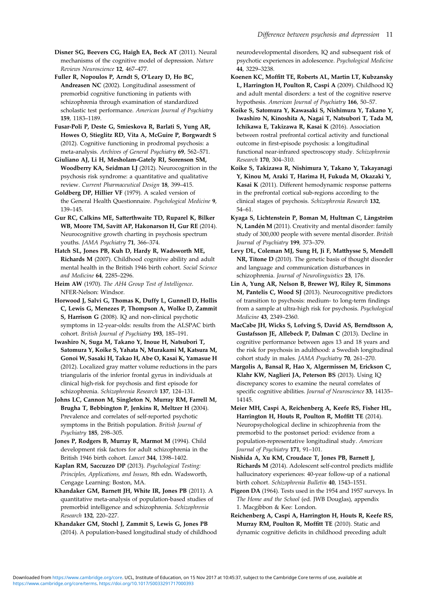<span id="page-10-0"></span>Disner SG, Beevers CG, Haigh EA, Beck AT (2011). Neural mechanisms of the cognitive model of depression. Nature Reviews Neuroscience 12, 467–477.

Fuller R, Nopoulos P, Arndt S, O'Leary D, Ho BC, Andreasen NC (2002). Longitudinal assessment of premorbid cognitive functioning in patients with schizophrenia through examination of standardized scholastic test performance. American Journal of Psychiatry 159, 1183–1189.

Fusar-Poli P, Deste G, Smieskova R, Barlati S, Yung AR, Howes O, Stieglitz RD, Vita A, McGuire P, Borgwardt S (2012). Cognitive functioning in prodromal psychosis: a meta-analysis. Archives of General Psychiatry 69, 562–571.

Giuliano AJ, Li H, Mesholam-Gately RI, Sorenson SM, Woodberry KA, Seidman LJ (2012). Neurocognition in the psychosis risk syndrome: a quantitative and qualitative review. Current Pharmaceutical Design 18, 399–415.

Goldberg DP, Hillier VF (1979). A scaled version of the General Health Questionnaire. Psychological Medicine 9, 139–145.

Gur RC, Calkins ME, Satterthwaite TD, Ruparel K, Bilker WB, Moore TM, Savitt AP, Hakonarson H, Gur RE (2014). Neurocognitive growth charting in psychosis spectrum youths. JAMA Psychiatry 71, 366–374.

Hatch SL, Jones PB, Kuh D, Hardy R, Wadsworth ME, Richards M (2007). Childhood cognitive ability and adult mental health in the British 1946 birth cohort. Social Science and Medicine 64, 2285–2296.

Heim AW (1970). The AH4 Group Test of Intelligence. NFER-Nelson: Windsor.

Horwood J, Salvi G, Thomas K, Duffy L, Gunnell D, Hollis C, Lewis G, Menezes P, Thompson A, Wolke D, Zammit S, Harrison G (2008). IQ and non-clinical psychotic symptoms in 12-year-olds: results from the ALSPAC birth cohort. British Journal of Psychiatry 193, 185–191.

Iwashiro N, Suga M, Takano Y, Inoue H, Natsubori T, Satomura Y, Koike S, Yahata N, Murakami M, Katsura M, Gonoi W, Sasaki H, Takao H, Abe O, Kasai K, Yamasue H (2012). Localized gray matter volume reductions in the pars triangularis of the inferior frontal gyrus in individuals at clinical high-risk for psychosis and first episode for schizophrenia. Schizophrenia Research 137, 124–131.

Johns LC, Cannon M, Singleton N, Murray RM, Farrell M, Brugha T, Bebbington P, Jenkins R, Meltzer H (2004). Prevalence and correlates of self-reported psychotic symptoms in the British population. British Journal of Psychiatry 185, 298–305.

Jones P, Rodgers B, Murray R, Marmot M (1994). Child development risk factors for adult schizophrenia in the British 1946 birth cohort. Lancet 344, 1398–1402.

Kaplan RM, Saccuzzo DP (2013). Psychological Testing: Principles, Applications, and Issues, 8th edn. Wadsworth, Cengage Learning: Boston, MA.

Khandaker GM, Barnett JH, White IR, Jones PB (2011). A quantitative meta-analysis of population-based studies of premorbid intelligence and schizophrenia. Schizophrenia Research 132, 220–227.

Khandaker GM, Stochl J, Zammit S, Lewis G, Jones PB (2014). A population-based longitudinal study of childhood neurodevelopmental disorders, IQ and subsequent risk of psychotic experiences in adolescence. Psychological Medicine 44, 3229–3238.

Koenen KC, Moffitt TE, Roberts AL, Martin LT, Kubzansky L, Harrington H, Poulton R, Caspi A (2009). Childhood IQ and adult mental disorders: a test of the cognitive reserve hypothesis. American Journal of Psychiatry 166, 50–57.

Koike S, Satomura Y, Kawasaki S, Nishimura Y, Takano Y, Iwashiro N, Kinoshita A, Nagai T, Natsubori T, Tada M, Ichikawa E, Takizawa R, Kasai K (2016). Association between rostral prefrontal cortical activity and functional outcome in first-episode psychosis: a longitudinal functional near-infrared spectroscopy study. Schizophrenia Research 170, 304–310.

Koike S, Takizawa R, Nishimura Y, Takano Y, Takayanagi Y, Kinou M, Araki T, Harima H, Fukuda M, Okazaki Y, Kasai K (2011). Different hemodynamic response patterns in the prefrontal cortical sub-regions according to the clinical stages of psychosis. Schizophrenia Research 132, 54–61.

Kyaga S, Lichtenstein P, Boman M, Hultman C, Långström N, Landén M (2011). Creativity and mental disorder: family study of 300,000 people with severe mental disorder. British Journal of Psychiatry 199, 373–379.

Levy DL, Coleman MJ, Sung H, Ji F, Matthysse S, Mendell NR, Titone D (2010). The genetic basis of thought disorder and language and communication disturbances in schizophrenia. Journal of Neurolinguistics 23, 176.

Lin A, Yung AR, Nelson B, Brewer WJ, Riley R, Simmons M, Pantelis C, Wood SJ (2013). Neurocognitive predictors of transition to psychosis: medium- to long-term findings from a sample at ultra-high risk for psychosis. Psychological Medicine 43, 2349–2360.

MacCabe JH, Wicks S, Lofving S, David AS, Berndtsson A, Gustafsson JE, Allebeck P, Dalman C (2013). Decline in cognitive performance between ages 13 and 18 years and the risk for psychosis in adulthood: a Swedish longitudinal cohort study in males. JAMA Psychiatry 70, 261–270.

Margolis A, Bansal R, Hao X, Algermissen M, Erickson C, Klahr KW, Naglieri JA, Peterson BS (2013). Using IQ discrepancy scores to examine the neural correlates of specific cognitive abilities. Journal of Neuroscience 33, 14135– 14145.

Meier MH, Caspi A, Reichenberg A, Keefe RS, Fisher HL, Harrington H, Houts R, Poulton R, Moffitt TE (2014). Neuropsychological decline in schizophrenia from the premorbid to the postonset period: evidence from a population-representative longitudinal study. American Journal of Psychiatry 171, 91–101.

Nishida A, Xu KM, Croudace T, Jones PB, Barnett J, Richards M (2014). Adolescent self-control predicts midlife hallucinatory experiences: 40-year follow-up of a national birth cohort. Schizophrenia Bulletin 40, 1543–1551.

Pigeon DA (1964). Tests used in the 1954 and 1957 surveys. In The Home and the School (ed. JWB Douglas), appendix 1. Macgibbon & Kee: London.

Reichenberg A, Caspi A, Harrington H, Houts R, Keefe RS, Murray RM, Poulton R, Moffitt TE (2010). Static and dynamic cognitive deficits in childhood preceding adult